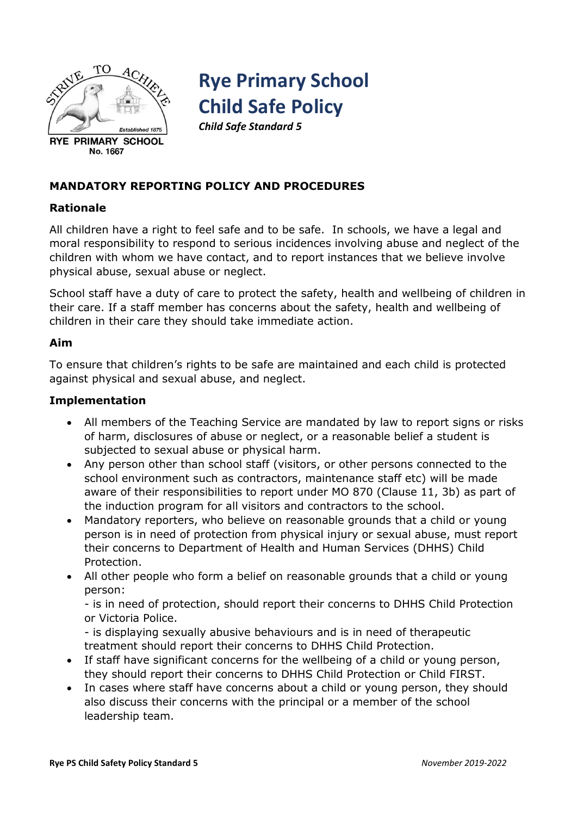

# **Rye Primary School Child Safe Policy**

*Child Safe Standard 5*

## **MANDATORY REPORTING POLICY AND PROCEDURES**

## **Rationale**

All children have a right to feel safe and to be safe. In schools, we have a legal and moral responsibility to respond to serious incidences involving abuse and neglect of the children with whom we have contact, and to report instances that we believe involve physical abuse, sexual abuse or neglect.

School staff have a duty of care to protect the safety, health and wellbeing of children in their care. If a staff member has concerns about the safety, health and wellbeing of children in their care they should take immediate action.

## **Aim**

To ensure that children's rights to be safe are maintained and each child is protected against physical and sexual abuse, and neglect.

#### **Implementation**

- All members of the Teaching Service are mandated by law to report signs or risks of harm, disclosures of abuse or neglect, or a reasonable belief a student is subjected to sexual abuse or physical harm.
- Any person other than school staff (visitors, or other persons connected to the school environment such as contractors, maintenance staff etc) will be made aware of their responsibilities to report under MO 870 (Clause 11, 3b) as part of the induction program for all visitors and contractors to the school.
- Mandatory reporters, who believe on reasonable grounds that a child or young person is in need of protection from physical injury or sexual abuse, must report their concerns to Department of Health and Human Services (DHHS) Child Protection.
- All other people who form a belief on reasonable grounds that a child or young person:

- is in need of protection, should report their concerns to DHHS Child Protection or Victoria Police.

- is displaying sexually abusive behaviours and is in need of therapeutic treatment should report their concerns to DHHS Child Protection.

- If staff have significant concerns for the wellbeing of a child or young person, they should report their concerns to DHHS Child Protection or Child FIRST.
- In cases where staff have concerns about a child or young person, they should also discuss their concerns with the principal or a member of the school leadership team.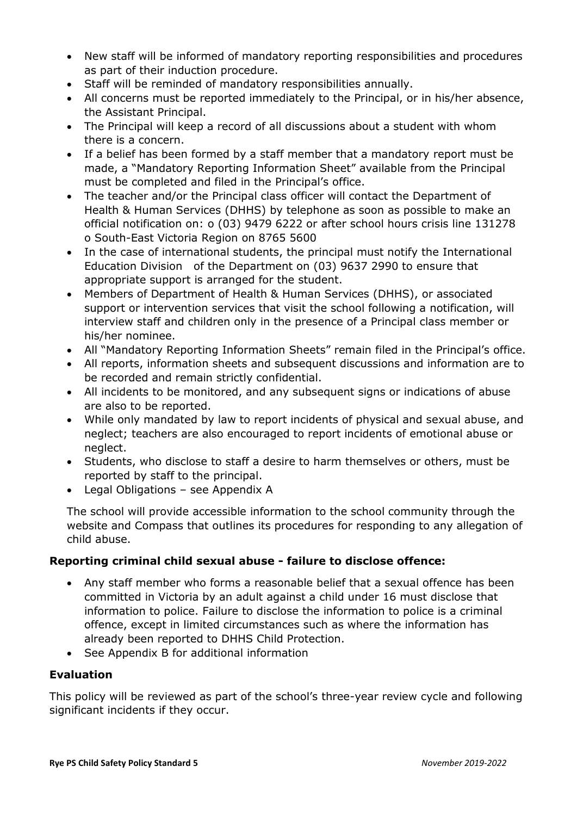- New staff will be informed of mandatory reporting responsibilities and procedures as part of their induction procedure.
- Staff will be reminded of mandatory responsibilities annually.
- All concerns must be reported immediately to the Principal, or in his/her absence, the Assistant Principal.
- The Principal will keep a record of all discussions about a student with whom there is a concern.
- If a belief has been formed by a staff member that a mandatory report must be made, a "Mandatory Reporting Information Sheet" available from the Principal must be completed and filed in the Principal's office.
- The teacher and/or the Principal class officer will contact the Department of Health & Human Services (DHHS) by telephone as soon as possible to make an official notification on: o (03) 9479 6222 or after school hours crisis line 131278 o South-East Victoria Region on 8765 5600
- In the case of international students, the principal must notify the International Education Division of the Department on (03) 9637 2990 to ensure that appropriate support is arranged for the student.
- Members of Department of Health & Human Services (DHHS), or associated support or intervention services that visit the school following a notification, will interview staff and children only in the presence of a Principal class member or his/her nominee.
- All "Mandatory Reporting Information Sheets" remain filed in the Principal's office.
- All reports, information sheets and subsequent discussions and information are to be recorded and remain strictly confidential.
- All incidents to be monitored, and any subsequent signs or indications of abuse are also to be reported.
- While only mandated by law to report incidents of physical and sexual abuse, and neglect; teachers are also encouraged to report incidents of emotional abuse or neglect.
- Students, who disclose to staff a desire to harm themselves or others, must be reported by staff to the principal.
- Legal Obligations see Appendix A

The school will provide accessible information to the school community through the website and Compass that outlines its procedures for responding to any allegation of child abuse.

# **Reporting criminal child sexual abuse - failure to disclose offence:**

- Any staff member who forms a reasonable belief that a sexual offence has been committed in Victoria by an adult against a child under 16 must disclose that information to police. Failure to disclose the information to police is a criminal offence, except in limited circumstances such as where the information has already been reported to DHHS Child Protection.
- See Appendix B for additional information

# **Evaluation**

This policy will be reviewed as part of the school's three-year review cycle and following significant incidents if they occur.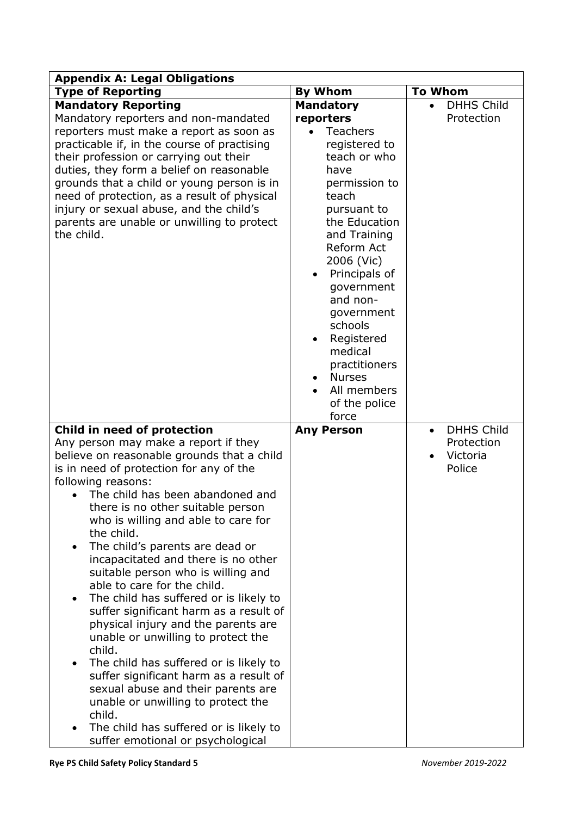| <b>Appendix A: Legal Obligations</b>                                                                                                                                                                                                                                                                                                                                                                                                                                                                                                                                                                                                                                                                                                                                                                                                                                                                |                                                                                                                                                                                                                                                                                                                                                                         |                                                                    |  |
|-----------------------------------------------------------------------------------------------------------------------------------------------------------------------------------------------------------------------------------------------------------------------------------------------------------------------------------------------------------------------------------------------------------------------------------------------------------------------------------------------------------------------------------------------------------------------------------------------------------------------------------------------------------------------------------------------------------------------------------------------------------------------------------------------------------------------------------------------------------------------------------------------------|-------------------------------------------------------------------------------------------------------------------------------------------------------------------------------------------------------------------------------------------------------------------------------------------------------------------------------------------------------------------------|--------------------------------------------------------------------|--|
| <b>Type of Reporting</b>                                                                                                                                                                                                                                                                                                                                                                                                                                                                                                                                                                                                                                                                                                                                                                                                                                                                            | <b>By Whom</b>                                                                                                                                                                                                                                                                                                                                                          | <b>To Whom</b>                                                     |  |
| <b>Mandatory Reporting</b><br>Mandatory reporters and non-mandated<br>reporters must make a report as soon as<br>practicable if, in the course of practising<br>their profession or carrying out their<br>duties, they form a belief on reasonable<br>grounds that a child or young person is in<br>need of protection, as a result of physical<br>injury or sexual abuse, and the child's<br>parents are unable or unwilling to protect<br>the child.                                                                                                                                                                                                                                                                                                                                                                                                                                              | <b>Mandatory</b><br>reporters<br><b>Teachers</b><br>registered to<br>teach or who<br>have<br>permission to<br>teach<br>pursuant to<br>the Education<br>and Training<br>Reform Act<br>2006 (Vic)<br>Principals of<br>government<br>and non-<br>government<br>schools<br>Registered<br>medical<br>practitioners<br><b>Nurses</b><br>All members<br>of the police<br>force | <b>DHHS Child</b><br>Protection                                    |  |
| Child in need of protection<br>Any person may make a report if they<br>believe on reasonable grounds that a child<br>is in need of protection for any of the<br>following reasons:<br>The child has been abandoned and<br>there is no other suitable person<br>who is willing and able to care for<br>the child.<br>The child's parents are dead or<br>incapacitated and there is no other<br>suitable person who is willing and<br>able to care for the child.<br>The child has suffered or is likely to<br>suffer significant harm as a result of<br>physical injury and the parents are<br>unable or unwilling to protect the<br>child.<br>The child has suffered or is likely to<br>suffer significant harm as a result of<br>sexual abuse and their parents are<br>unable or unwilling to protect the<br>child.<br>The child has suffered or is likely to<br>suffer emotional or psychological | <b>Any Person</b>                                                                                                                                                                                                                                                                                                                                                       | <b>DHHS Child</b><br>$\bullet$<br>Protection<br>Victoria<br>Police |  |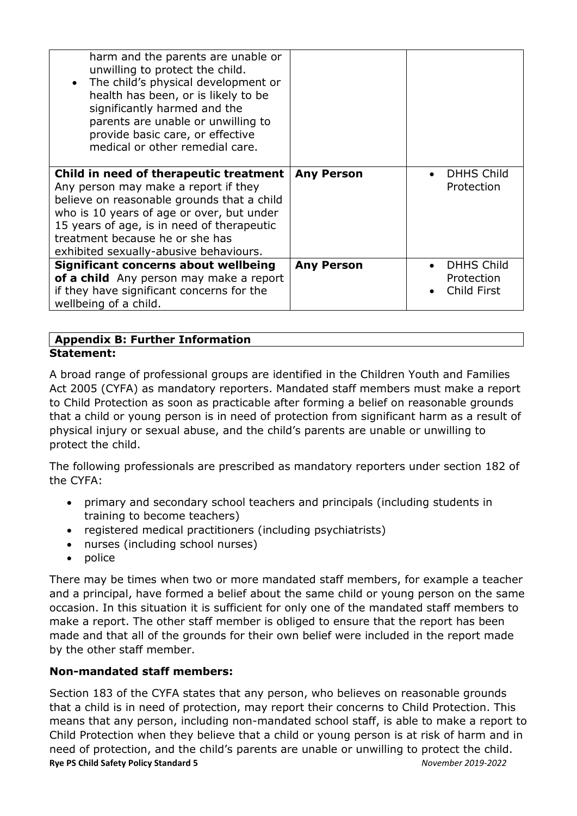| harm and the parents are unable or<br>unwilling to protect the child.<br>The child's physical development or<br>$\bullet$<br>health has been, or is likely to be<br>significantly harmed and the<br>parents are unable or unwilling to<br>provide basic care, or effective<br>medical or other remedial care. |                   |                                                |
|---------------------------------------------------------------------------------------------------------------------------------------------------------------------------------------------------------------------------------------------------------------------------------------------------------------|-------------------|------------------------------------------------|
| Child in need of therapeutic treatment<br>Any person may make a report if they<br>believe on reasonable grounds that a child<br>who is 10 years of age or over, but under<br>15 years of age, is in need of therapeutic<br>treatment because he or she has<br>exhibited sexually-abusive behaviours.          | <b>Any Person</b> | <b>DHHS Child</b><br>Protection                |
| <b>Significant concerns about wellbeing</b><br>of a child Any person may make a report<br>if they have significant concerns for the<br>wellbeing of a child.                                                                                                                                                  | <b>Any Person</b> | <b>DHHS Child</b><br>Protection<br>Child First |

## **Appendix B: Further Information Statement:**

A broad range of professional groups are identified in the Children Youth and Families Act 2005 (CYFA) as mandatory reporters. Mandated staff members must make a report to Child Protection as soon as practicable after forming a belief on reasonable grounds that a child or young person is in need of protection from significant harm as a result of physical injury or sexual abuse, and the child's parents are unable or unwilling to protect the child.

The following professionals are prescribed as mandatory reporters under section 182 of the CYFA:

- primary and secondary school teachers and principals (including students in training to become teachers)
- registered medical practitioners (including psychiatrists)
- nurses (including school nurses)
- $\bullet$  police

There may be times when two or more mandated staff members, for example a teacher and a principal, have formed a belief about the same child or young person on the same occasion. In this situation it is sufficient for only one of the mandated staff members to make a report. The other staff member is obliged to ensure that the report has been made and that all of the grounds for their own belief were included in the report made by the other staff member.

# **Non-mandated staff members:**

**Rye PS Child Safety Policy Standard 5** *November 2019-2022* Section 183 of the CYFA states that any person, who believes on reasonable grounds that a child is in need of protection, may report their concerns to Child Protection. This means that any person, including non-mandated school staff, is able to make a report to Child Protection when they believe that a child or young person is at risk of harm and in need of protection, and the child's parents are unable or unwilling to protect the child.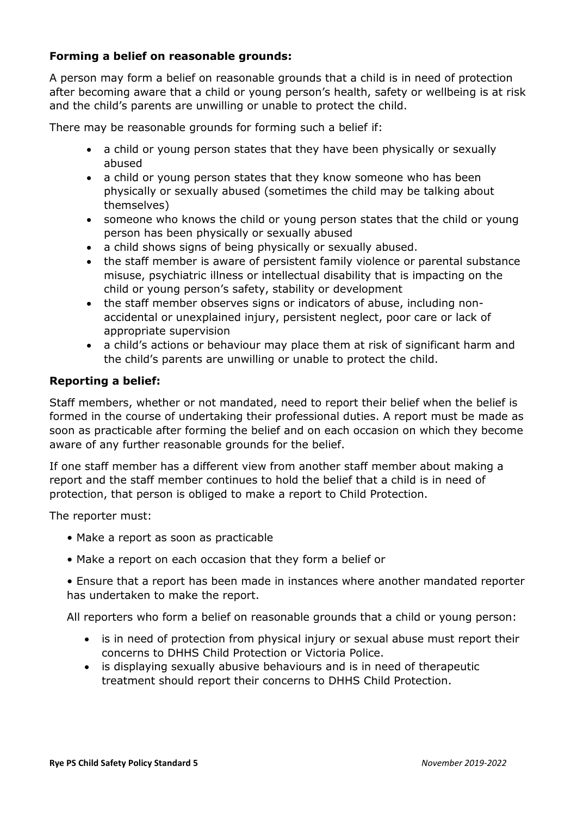## **Forming a belief on reasonable grounds:**

A person may form a belief on reasonable grounds that a child is in need of protection after becoming aware that a child or young person's health, safety or wellbeing is at risk and the child's parents are unwilling or unable to protect the child.

There may be reasonable grounds for forming such a belief if:

- a child or young person states that they have been physically or sexually abused
- a child or young person states that they know someone who has been physically or sexually abused (sometimes the child may be talking about themselves)
- someone who knows the child or young person states that the child or young person has been physically or sexually abused
- a child shows signs of being physically or sexually abused.
- the staff member is aware of persistent family violence or parental substance misuse, psychiatric illness or intellectual disability that is impacting on the child or young person's safety, stability or development
- the staff member observes signs or indicators of abuse, including nonaccidental or unexplained injury, persistent neglect, poor care or lack of appropriate supervision
- a child's actions or behaviour may place them at risk of significant harm and the child's parents are unwilling or unable to protect the child.

## **Reporting a belief:**

Staff members, whether or not mandated, need to report their belief when the belief is formed in the course of undertaking their professional duties. A report must be made as soon as practicable after forming the belief and on each occasion on which they become aware of any further reasonable grounds for the belief.

If one staff member has a different view from another staff member about making a report and the staff member continues to hold the belief that a child is in need of protection, that person is obliged to make a report to Child Protection.

The reporter must:

- Make a report as soon as practicable
- Make a report on each occasion that they form a belief or

• Ensure that a report has been made in instances where another mandated reporter has undertaken to make the report.

All reporters who form a belief on reasonable grounds that a child or young person:

- is in need of protection from physical injury or sexual abuse must report their concerns to DHHS Child Protection or Victoria Police.
- is displaying sexually abusive behaviours and is in need of therapeutic treatment should report their concerns to DHHS Child Protection.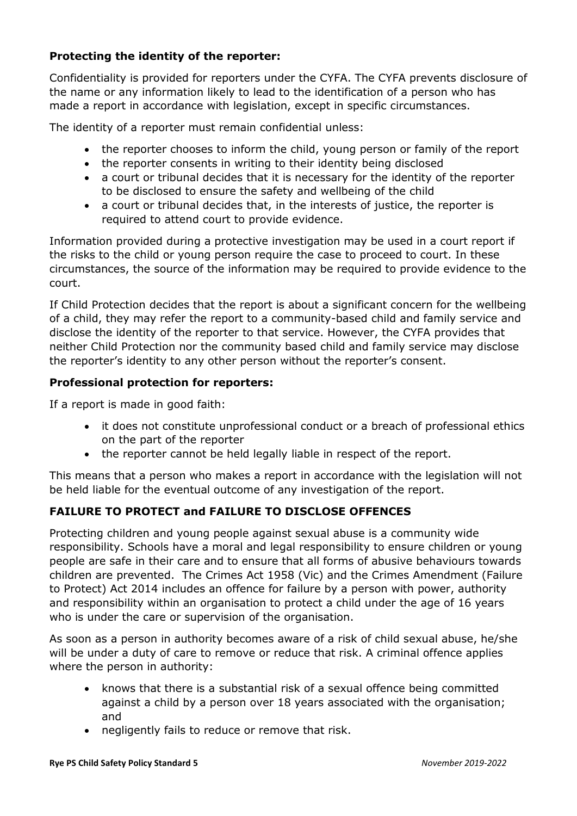# **Protecting the identity of the reporter:**

Confidentiality is provided for reporters under the CYFA. The CYFA prevents disclosure of the name or any information likely to lead to the identification of a person who has made a report in accordance with legislation, except in specific circumstances.

The identity of a reporter must remain confidential unless:

- the reporter chooses to inform the child, young person or family of the report
- the reporter consents in writing to their identity being disclosed
- a court or tribunal decides that it is necessary for the identity of the reporter to be disclosed to ensure the safety and wellbeing of the child
- a court or tribunal decides that, in the interests of justice, the reporter is required to attend court to provide evidence.

Information provided during a protective investigation may be used in a court report if the risks to the child or young person require the case to proceed to court. In these circumstances, the source of the information may be required to provide evidence to the court.

If Child Protection decides that the report is about a significant concern for the wellbeing of a child, they may refer the report to a community-based child and family service and disclose the identity of the reporter to that service. However, the CYFA provides that neither Child Protection nor the community based child and family service may disclose the reporter's identity to any other person without the reporter's consent.

# **Professional protection for reporters:**

If a report is made in good faith:

- it does not constitute unprofessional conduct or a breach of professional ethics on the part of the reporter
- the reporter cannot be held legally liable in respect of the report.

This means that a person who makes a report in accordance with the legislation will not be held liable for the eventual outcome of any investigation of the report.

# **FAILURE TO PROTECT and FAILURE TO DISCLOSE OFFENCES**

Protecting children and young people against sexual abuse is a community wide responsibility. Schools have a moral and legal responsibility to ensure children or young people are safe in their care and to ensure that all forms of abusive behaviours towards children are prevented. The Crimes Act 1958 (Vic) and the Crimes Amendment (Failure to Protect) Act 2014 includes an offence for failure by a person with power, authority and responsibility within an organisation to protect a child under the age of 16 years who is under the care or supervision of the organisation.

As soon as a person in authority becomes aware of a risk of child sexual abuse, he/she will be under a duty of care to remove or reduce that risk. A criminal offence applies where the person in authority:

- knows that there is a substantial risk of a sexual offence being committed against a child by a person over 18 years associated with the organisation; and
- negligently fails to reduce or remove that risk.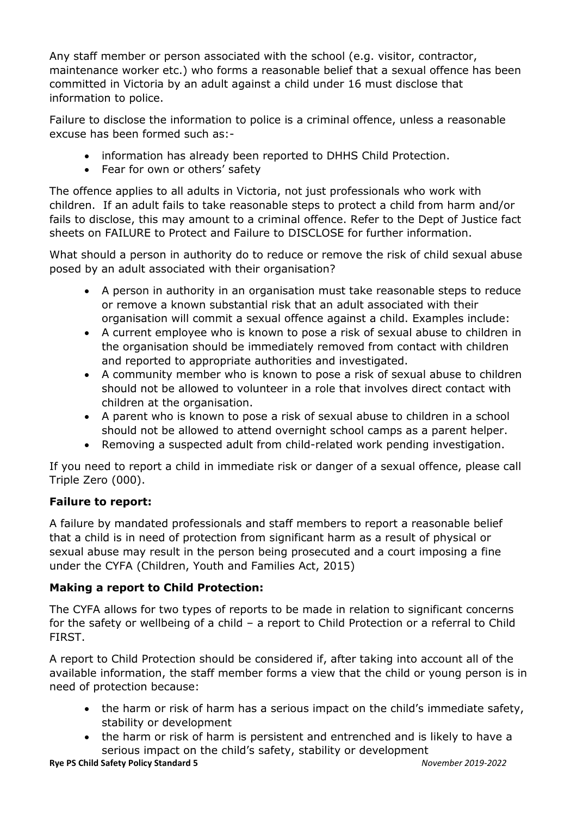Any staff member or person associated with the school (e.g. visitor, contractor, maintenance worker etc.) who forms a reasonable belief that a sexual offence has been committed in Victoria by an adult against a child under 16 must disclose that information to police.

Failure to disclose the information to police is a criminal offence, unless a reasonable excuse has been formed such as:-

- information has already been reported to DHHS Child Protection.
- Fear for own or others' safety

The offence applies to all adults in Victoria, not just professionals who work with children. If an adult fails to take reasonable steps to protect a child from harm and/or fails to disclose, this may amount to a criminal offence. Refer to the Dept of Justice fact sheets on FAILURE to Protect and Failure to DISCLOSE for further information.

What should a person in authority do to reduce or remove the risk of child sexual abuse posed by an adult associated with their organisation?

- A person in authority in an organisation must take reasonable steps to reduce or remove a known substantial risk that an adult associated with their organisation will commit a sexual offence against a child. Examples include:
- A current employee who is known to pose a risk of sexual abuse to children in the organisation should be immediately removed from contact with children and reported to appropriate authorities and investigated.
- A community member who is known to pose a risk of sexual abuse to children should not be allowed to volunteer in a role that involves direct contact with children at the organisation.
- A parent who is known to pose a risk of sexual abuse to children in a school should not be allowed to attend overnight school camps as a parent helper.
- Removing a suspected adult from child-related work pending investigation.

If you need to report a child in immediate risk or danger of a sexual offence, please call Triple Zero (000).

# **Failure to report:**

A failure by mandated professionals and staff members to report a reasonable belief that a child is in need of protection from significant harm as a result of physical or sexual abuse may result in the person being prosecuted and a court imposing a fine under the CYFA (Children, Youth and Families Act, 2015)

# **Making a report to Child Protection:**

The CYFA allows for two types of reports to be made in relation to significant concerns for the safety or wellbeing of a child – a report to Child Protection or a referral to Child FIRST.

A report to Child Protection should be considered if, after taking into account all of the available information, the staff member forms a view that the child or young person is in need of protection because:

- the harm or risk of harm has a serious impact on the child's immediate safety, stability or development
- the harm or risk of harm is persistent and entrenched and is likely to have a serious impact on the child's safety, stability or development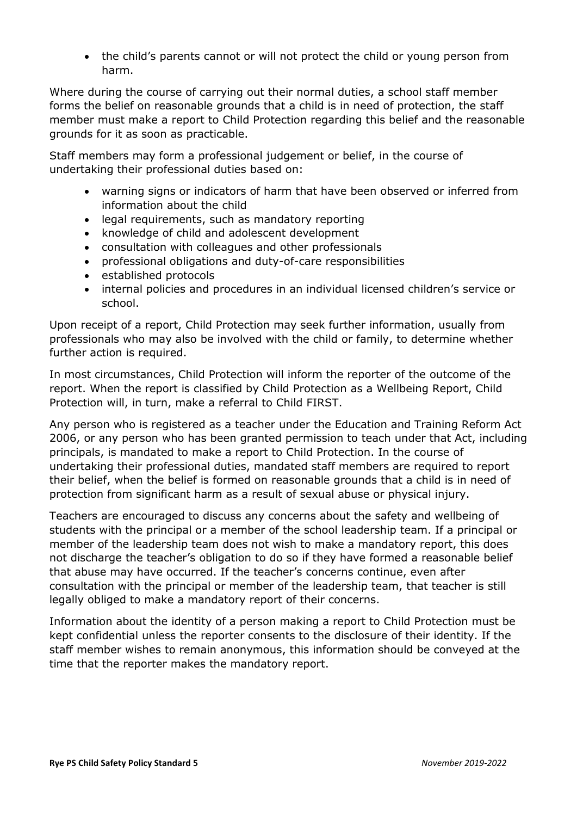the child's parents cannot or will not protect the child or young person from harm.

Where during the course of carrying out their normal duties, a school staff member forms the belief on reasonable grounds that a child is in need of protection, the staff member must make a report to Child Protection regarding this belief and the reasonable grounds for it as soon as practicable.

Staff members may form a professional judgement or belief, in the course of undertaking their professional duties based on:

- warning signs or indicators of harm that have been observed or inferred from information about the child
- legal requirements, such as mandatory reporting
- knowledge of child and adolescent development
- consultation with colleagues and other professionals
- professional obligations and duty-of-care responsibilities
- established protocols
- internal policies and procedures in an individual licensed children's service or school.

Upon receipt of a report, Child Protection may seek further information, usually from professionals who may also be involved with the child or family, to determine whether further action is required.

In most circumstances, Child Protection will inform the reporter of the outcome of the report. When the report is classified by Child Protection as a Wellbeing Report, Child Protection will, in turn, make a referral to Child FIRST.

Any person who is registered as a teacher under the Education and Training Reform Act 2006, or any person who has been granted permission to teach under that Act, including principals, is mandated to make a report to Child Protection. In the course of undertaking their professional duties, mandated staff members are required to report their belief, when the belief is formed on reasonable grounds that a child is in need of protection from significant harm as a result of sexual abuse or physical injury.

Teachers are encouraged to discuss any concerns about the safety and wellbeing of students with the principal or a member of the school leadership team. If a principal or member of the leadership team does not wish to make a mandatory report, this does not discharge the teacher's obligation to do so if they have formed a reasonable belief that abuse may have occurred. If the teacher's concerns continue, even after consultation with the principal or member of the leadership team, that teacher is still legally obliged to make a mandatory report of their concerns.

Information about the identity of a person making a report to Child Protection must be kept confidential unless the reporter consents to the disclosure of their identity. If the staff member wishes to remain anonymous, this information should be conveyed at the time that the reporter makes the mandatory report.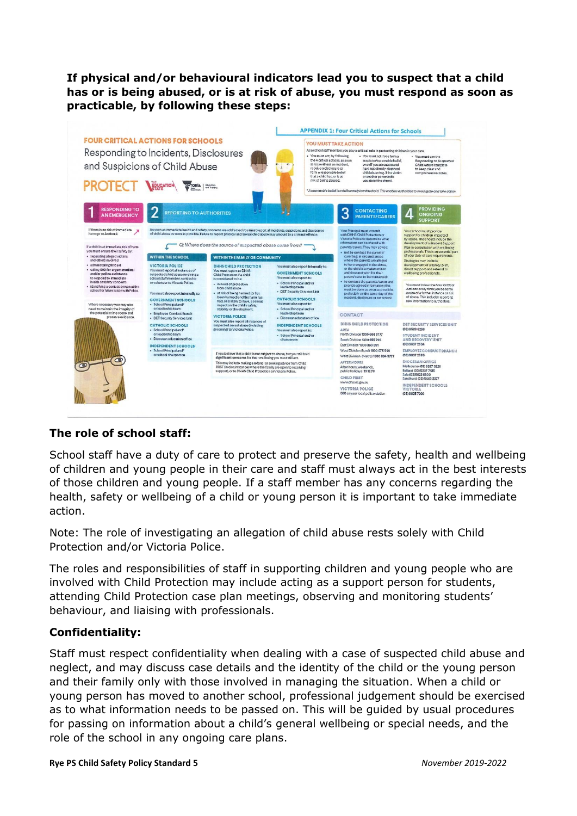**If physical and/or behavioural indicators lead you to suspect that a child has or is being abused, or is at risk of abuse, you must respond as soon as practicable, by following these steps:**



## **The role of school staff:**

School staff have a duty of care to protect and preserve the safety, health and wellbeing of children and young people in their care and staff must always act in the best interests of those children and young people. If a staff member has any concerns regarding the health, safety or wellbeing of a child or young person it is important to take immediate action.

Note: The role of investigating an allegation of child abuse rests solely with Child Protection and/or Victoria Police.

The roles and responsibilities of staff in supporting children and young people who are involved with Child Protection may include acting as a support person for students, attending Child Protection case plan meetings, observing and monitoring students' behaviour, and liaising with professionals.

## **Confidentiality:**

Staff must respect confidentiality when dealing with a case of suspected child abuse and neglect, and may discuss case details and the identity of the child or the young person and their family only with those involved in managing the situation. When a child or young person has moved to another school, professional judgement should be exercised as to what information needs to be passed on. This will be guided by usual procedures for passing on information about a child's general wellbeing or special needs, and the role of the school in any ongoing care plans.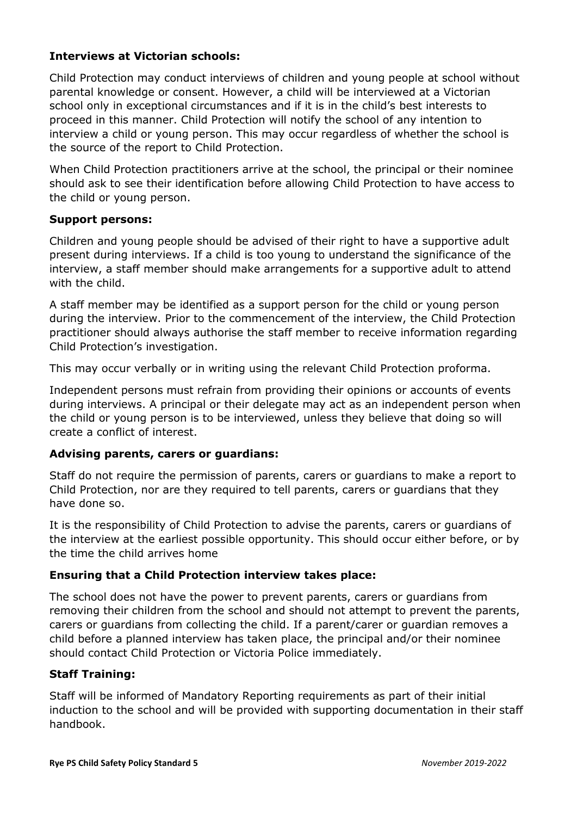## **Interviews at Victorian schools:**

Child Protection may conduct interviews of children and young people at school without parental knowledge or consent. However, a child will be interviewed at a Victorian school only in exceptional circumstances and if it is in the child's best interests to proceed in this manner. Child Protection will notify the school of any intention to interview a child or young person. This may occur regardless of whether the school is the source of the report to Child Protection.

When Child Protection practitioners arrive at the school, the principal or their nominee should ask to see their identification before allowing Child Protection to have access to the child or young person.

#### **Support persons:**

Children and young people should be advised of their right to have a supportive adult present during interviews. If a child is too young to understand the significance of the interview, a staff member should make arrangements for a supportive adult to attend with the child.

A staff member may be identified as a support person for the child or young person during the interview. Prior to the commencement of the interview, the Child Protection practitioner should always authorise the staff member to receive information regarding Child Protection's investigation.

This may occur verbally or in writing using the relevant Child Protection proforma.

Independent persons must refrain from providing their opinions or accounts of events during interviews. A principal or their delegate may act as an independent person when the child or young person is to be interviewed, unless they believe that doing so will create a conflict of interest.

## **Advising parents, carers or guardians:**

Staff do not require the permission of parents, carers or guardians to make a report to Child Protection, nor are they required to tell parents, carers or guardians that they have done so.

It is the responsibility of Child Protection to advise the parents, carers or guardians of the interview at the earliest possible opportunity. This should occur either before, or by the time the child arrives home

## **Ensuring that a Child Protection interview takes place:**

The school does not have the power to prevent parents, carers or guardians from removing their children from the school and should not attempt to prevent the parents, carers or guardians from collecting the child. If a parent/carer or guardian removes a child before a planned interview has taken place, the principal and/or their nominee should contact Child Protection or Victoria Police immediately.

## **Staff Training:**

Staff will be informed of Mandatory Reporting requirements as part of their initial induction to the school and will be provided with supporting documentation in their staff handbook.